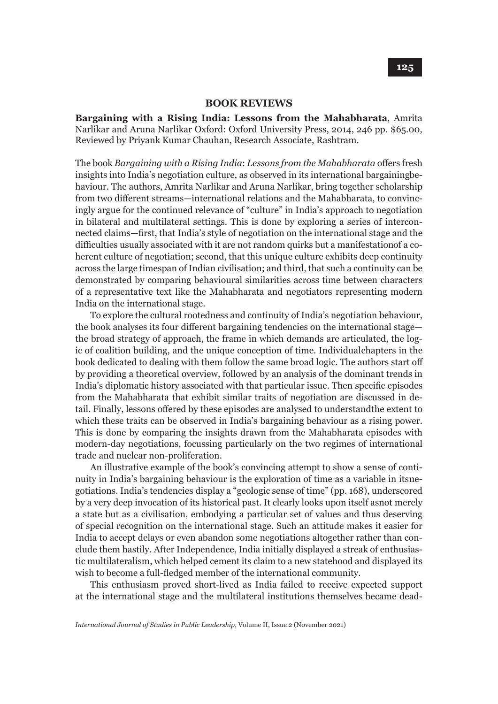## **BOOK REVIEWS**

**Bargaining with a Rising India: Lessons from the Mahabharata**, Amrita Narlikar and Aruna Narlikar Oxford: Oxford University Press, 2014, 246 pp. \$65.00, Reviewed by Priyank Kumar Chauhan, Research Associate, Rashtram.

The book *Bargaining with a Rising India*: *Lessons from the Mahabharata* offers fresh insights into India's negotiation culture, as observed in its international bargaining behaviour. The authors, Amrita Narlikar and Aruna Narlikar, bring together scholarship from two different streams—international relations and the Mahabharata, to convincingly argue for the continued relevance of "culture" in India's approach to negotiation in bilateral and multilateral settings. This is done by exploring a series of interconnected claims—first, that India's style of negotiation on the international stage and the difficulties usually associated with it are not random quirks but a manifestation of a coherent culture of negotiation; second, that this unique culture exhibits deep continuity across the large timespan of Indian civilisation; and third, that such a continuity can be demonstrated by comparing behavioural similarities across time between characters of a representative text like the Mahabharata and negotiators representing modern India on the international stage.

To explore the cultural rootedness and continuity of India's negotiation behaviour, the book analyses its four different bargaining tendencies on the international stage the broad strategy of approach, the frame in which demands are articulated, the logic of coalition building, and the unique conception of time. Individual chapters in the book dedicated to dealing with them follow the same broad logic. The authors start off by providing a theoretical overview, followed by an analysis of the dominant trends in India's diplomatic history associated with that particular issue. Then specific episodes from the Mahabharata that exhibit similar traits of negotiation are discussed in detail. Finally, lessons offered by these episodes are analysed to understand the extent to which these traits can be observed in India's bargaining behaviour as a rising power. This is done by comparing the insights drawn from the Mahabharata episodes with modern-day negotiations, focussing particularly on the two regimes of international trade and nuclear non-proliferation.

An illustrative example of the book's convincing attempt to show a sense of continuity in India's bargaining behaviour is the exploration of time as a variable in its negotiations. India's tendencies display a "geologic sense of time" (pp. 168), underscored by a very deep invocation of its historical past. It clearly looks upon itself as not merely a state but as a civilisation, embodying a particular set of values and thus deserving of special recognition on the international stage. Such an attitude makes it easier for India to accept delays or even abandon some negotiations altogether rather than conclude them hastily. After Independence, India initially displayed a streak of enthusiastic multilateralism, which helped cement its claim to a new statehood and displayed its wish to become a full-fledged member of the international community.

This enthusiasm proved short-lived as India failed to receive expected support at the international stage and the multilateral institutions themselves became dead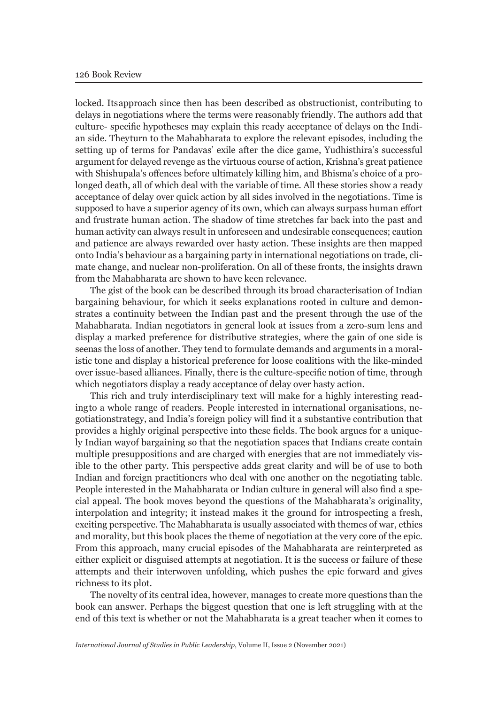locked. Its approach since then has been described as obstructionist, contributing to delays in negotiations where the terms were reasonably friendly. The authors add that culture- specific hypotheses may explain this ready acceptance of delays on the Indian side. They turn to the Mahabharata to explore the relevant episodes, including the setting up of terms for Pandavas' exile after the dice game, Yudhisthira's successful argument for delayed revenge as the virtuous course of action, Krishna's great patience with Shishupala's offences before ultimately killing him, and Bhisma's choice of a prolonged death, all of which deal with the variable of time. All these stories show a ready acceptance of delay over quick action by all sides involved in the negotiations. Time is supposed to have a superior agency of its own, which can always surpass human effort and frustrate human action. The shadow of time stretches far back into the past and human activity can always result in unforeseen and undesirable consequences; caution and patience are always rewarded over hasty action. These insights are then mapped onto India's behaviour as a bargaining party in international negotiations on trade, climate change, and nuclear non-proliferation. On all of these fronts, the insights drawn from the Mahabharata are shown to have keen relevance.

The gist of the book can be described through its broad characterisation of Indian bargaining behaviour, for which it seeks explanations rooted in culture and demonstrates a continuity between the Indian past and the present through the use of the Mahabharata. Indian negotiators in general look at issues from a zero-sum lens and display a marked preference for distributive strategies, where the gain of one side is seen as the loss of another. They tend to formulate demands and arguments in a moralistic tone and display a historical preference for loose coalitions with the like-minded over issue-based alliances. Finally, there is the culture-specific notion of time, through which negotiators display a ready acceptance of delay over hasty action.

This rich and truly interdisciplinary text will make for a highly interesting reading to a whole range of readers. People interested in international organisations, negotiation strategy, and India's foreign policy will find it a substantive contribution that provides a highly original perspective into these fields. The book argues for a uniquely Indian way of bargaining so that the negotiation spaces that Indians create contain multiple presuppositions and are charged with energies that are not immediately visible to the other party. This perspective adds great clarity and will be of use to both Indian and foreign practitioners who deal with one another on the negotiating table. People interested in the Mahabharata or Indian culture in general will also find a special appeal. The book moves beyond the questions of the Mahabharata's originality, interpolation and integrity; it instead makes it the ground for introspecting a fresh, exciting perspective. The Mahabharata is usually associated with themes of war, ethics and morality, but this book places the theme of negotiation at the very core of the epic. From this approach, many crucial episodes of the Mahabharata are reinterpreted as either explicit or disguised attempts at negotiation. It is the success or failure of these attempts and their interwoven unfolding, which pushes the epic forward and gives richness to its plot.

The novelty of its central idea, however, manages to create more questions than the book can answer. Perhaps the biggest question that one is left struggling with at the end of this text is whether or not the Mahabharata is a great teacher when it comes to